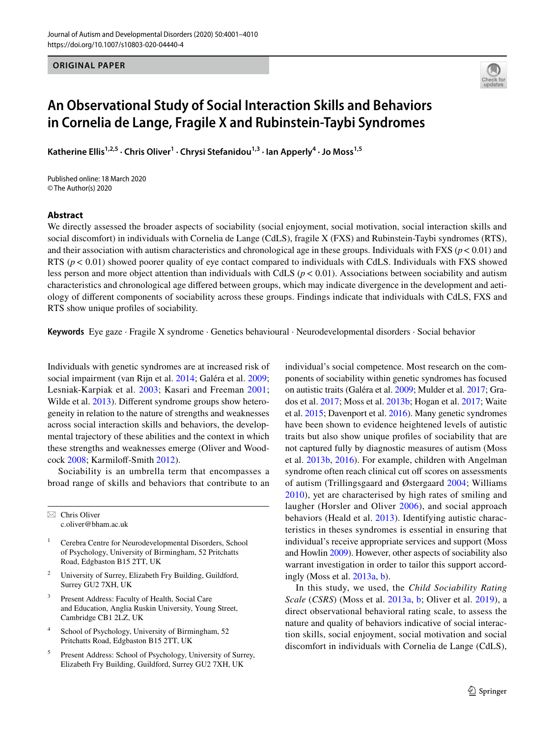**ORIGINAL PAPER**



# **An Observational Study of Social Interaction Skills and Behaviors in Cornelia de Lange, Fragile X and Rubinstein‑Taybi Syndromes**

Katherine Ellis<sup>1,2,5</sup> · Chris Oliver<sup>1</sup> · Chrysi Stefanidou<sup>1,3</sup> · Ian Apperly<sup>4</sup> · Jo Moss<sup>1,5</sup>

Published online: 18 March 2020 © The Author(s) 2020

### **Abstract**

We directly assessed the broader aspects of sociability (social enjoyment, social motivation, social interaction skills and social discomfort) in individuals with Cornelia de Lange (CdLS), fragile X (FXS) and Rubinstein-Taybi syndromes (RTS), and their association with autism characteristics and chronological age in these groups. Individuals with FXS  $(p < 0.01)$  and RTS (*p*< 0.01) showed poorer quality of eye contact compared to individuals with CdLS. Individuals with FXS showed less person and more object attention than individuals with CdLS (*p*< 0.01). Associations between sociability and autism characteristics and chronological age difered between groups, which may indicate divergence in the development and aetiology of diferent components of sociability across these groups. Findings indicate that individuals with CdLS, FXS and RTS show unique profles of sociability.

**Keywords** Eye gaze · Fragile X syndrome · Genetics behavioural · Neurodevelopmental disorders · Social behavior

Individuals with genetic syndromes are at increased risk of social impairment (van Rijn et al. [2014](#page-9-0); Galéra et al. [2009](#page-7-0); Lesniak-Karpiak et al. [2003](#page-8-0); Kasari and Freeman [2001](#page-7-1); Wilde et al. [2013](#page-9-1)). Different syndrome groups show heterogeneity in relation to the nature of strengths and weaknesses across social interaction skills and behaviors, the developmental trajectory of these abilities and the context in which these strengths and weaknesses emerge (Oliver and Wood-cock [2008;](#page-8-1) Karmiloff-Smith [2012\)](#page-7-2).

Sociability is an umbrella term that encompasses a broad range of skills and behaviors that contribute to an

 $\boxtimes$  Chris Oliver c.oliver@bham.ac.uk

- <sup>1</sup> Cerebra Centre for Neurodevelopmental Disorders, School of Psychology, University of Birmingham, 52 Pritchatts Road, Edgbaston B15 2TT, UK
- <sup>2</sup> University of Surrey, Elizabeth Fry Building, Guildford, Surrey GU2 7XH, UK
- <sup>3</sup> Present Address: Faculty of Health, Social Care and Education, Anglia Ruskin University, Young Street, Cambridge CB1 2LZ, UK
- <sup>4</sup> School of Psychology, University of Birmingham, 52 Pritchatts Road, Edgbaston B15 2TT, UK
- Present Address: School of Psychology, University of Surrey, Elizabeth Fry Building, Guildford, Surrey GU2 7XH, UK

individual's social competence. Most research on the components of sociability within genetic syndromes has focused on autistic traits (Galéra et al. [2009;](#page-7-0) Mulder et al. [2017](#page-8-2); Grados et al. [2017](#page-7-3); Moss et al. [2013b;](#page-8-3) Hogan et al. [2017;](#page-7-4) Waite et al. [2015](#page-9-2); Davenport et al. [2016](#page-7-5)). Many genetic syndromes have been shown to evidence heightened levels of autistic traits but also show unique profles of sociability that are not captured fully by diagnostic measures of autism (Moss et al. [2013b](#page-8-3), [2016](#page-8-4)). For example, children with Angelman syndrome often reach clinical cut off scores on assessments of autism (Trillingsgaard and Østergaard [2004;](#page-9-3) Williams [2010\)](#page-9-4), yet are characterised by high rates of smiling and laugher (Horsler and Oliver [2006\)](#page-7-6), and social approach behaviors (Heald et al. [2013\)](#page-7-7). Identifying autistic characteristics in theses syndromes is essential in ensuring that individual's receive appropriate services and support (Moss and Howlin [2009\)](#page-8-5). However, other aspects of sociability also warrant investigation in order to tailor this support accordingly (Moss et al. [2013a](#page-8-6), [b](#page-8-3)).

In this study, we used, the *Child Sociability Rating Scale* (*CSRS*) (Moss et al. [2013a](#page-8-6), [b](#page-8-3); Oliver et al. [2019\)](#page-8-7), a direct observational behavioral rating scale, to assess the nature and quality of behaviors indicative of social interaction skills, social enjoyment, social motivation and social discomfort in individuals with Cornelia de Lange (CdLS),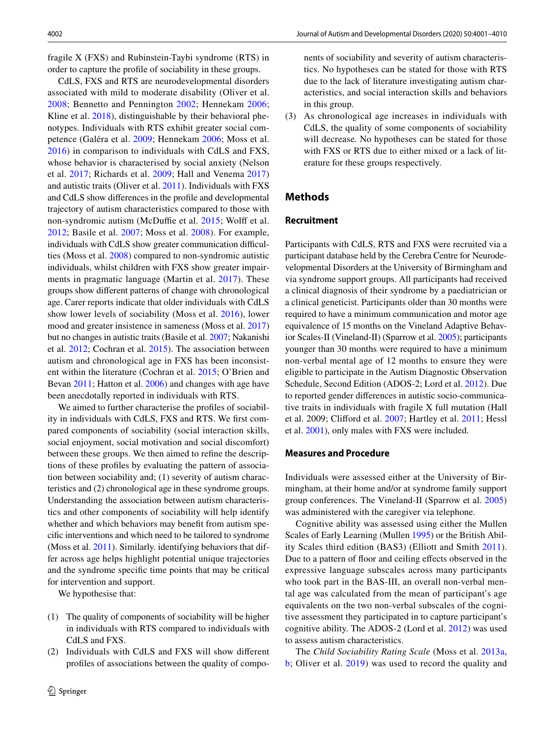fragile X (FXS) and Rubinstein-Taybi syndrome (RTS) in order to capture the profle of sociability in these groups.

CdLS, FXS and RTS are neurodevelopmental disorders associated with mild to moderate disability (Oliver et al. [2008;](#page-8-8) Bennetto and Pennington [2002](#page-6-0); Hennekam [2006](#page-7-8); Kline et al. [2018](#page-7-9)), distinguishable by their behavioral phenotypes. Individuals with RTS exhibit greater social competence (Galéra et al. [2009;](#page-7-0) Hennekam [2006;](#page-7-8) Moss et al. [2016\)](#page-8-4) in comparison to individuals with CdLS and FXS, whose behavior is characterised by social anxiety (Nelson et al. [2017](#page-8-9); Richards et al. [2009](#page-8-10); Hall and Venema [2017\)](#page-7-10) and autistic traits (Oliver et al. [2011\)](#page-8-11). Individuals with FXS and CdLS show diferences in the profle and developmental trajectory of autism characteristics compared to those with non-syndromic autism (McDuffie et al. [2015;](#page-8-12) Wolff et al. [2012;](#page-9-5) Basile et al. [2007](#page-6-1); Moss et al. [2008\)](#page-8-13). For example, individuals with CdLS show greater communication difficulties (Moss et al. [2008\)](#page-8-13) compared to non-syndromic autistic individuals, whilst children with FXS show greater impairments in pragmatic language (Martin et al. [2017](#page-8-14)). These groups show diferent patterns of change with chronological age. Carer reports indicate that older individuals with CdLS show lower levels of sociability (Moss et al. [2016](#page-8-4)), lower mood and greater insistence in sameness (Moss et al. [2017\)](#page-8-15) but no changes in autistic traits (Basile et al. [2007](#page-6-1); Nakanishi et al. [2012](#page-8-16); Cochran et al. [2015](#page-6-2)). The association between autism and chronological age in FXS has been inconsistent within the literature (Cochran et al. [2015;](#page-6-2) O'Brien and Bevan [2011](#page-8-17); Hatton et al. [2006](#page-7-11)) and changes with age have been anecdotally reported in individuals with RTS.

We aimed to further characterise the profles of sociability in individuals with CdLS, FXS and RTS. We frst compared components of sociability (social interaction skills, social enjoyment, social motivation and social discomfort) between these groups. We then aimed to refne the descriptions of these profles by evaluating the pattern of association between sociability and; (1) severity of autism characteristics and (2) chronological age in these syndrome groups. Understanding the association between autism characteristics and other components of sociability will help identify whether and which behaviors may beneft from autism specifc interventions and which need to be tailored to syndrome (Moss et al. [2011](#page-8-18)). Similarly. identifying behaviors that differ across age helps highlight potential unique trajectories and the syndrome specifc time points that may be critical for intervention and support.

We hypothesise that:

- (1) The quality of components of sociability will be higher in individuals with RTS compared to individuals with CdLS and FXS.
- (2) Individuals with CdLS and FXS will show diferent profles of associations between the quality of compo-

nents of sociability and severity of autism characteristics. No hypotheses can be stated for those with RTS due to the lack of literature investigating autism characteristics, and social interaction skills and behaviors in this group.

(3) As chronological age increases in individuals with CdLS, the quality of some components of sociability will decrease. No hypotheses can be stated for those with FXS or RTS due to either mixed or a lack of literature for these groups respectively.

## **Methods**

#### **Recruitment**

Participants with CdLS, RTS and FXS were recruited via a participant database held by the Cerebra Centre for Neurodevelopmental Disorders at the University of Birmingham and via syndrome support groups. All participants had received a clinical diagnosis of their syndrome by a paediatrician or a clinical geneticist. Participants older than 30 months were required to have a minimum communication and motor age equivalence of 15 months on the Vineland Adaptive Behavior Scales-II (Vineland-II) (Sparrow et al. [2005](#page-9-6)); participants younger than 30 months were required to have a minimum non-verbal mental age of 12 months to ensure they were eligible to participate in the Autism Diagnostic Observation Schedule, Second Edition (ADOS-2; Lord et al. [2012](#page-8-19)). Due to reported gender diferences in autistic socio-communicative traits in individuals with fragile X full mutation (Hall et al. 2009; Cliford et al. [2007;](#page-6-3) Hartley et al. [2011](#page-7-12); Hessl et al. [2001](#page-7-13)), only males with FXS were included.

#### **Measures and Procedure**

Individuals were assessed either at the University of Birmingham, at their home and/or at syndrome family support group conferences. The Vineland-II (Sparrow et al. [2005\)](#page-9-6) was administered with the caregiver via telephone.

Cognitive ability was assessed using either the Mullen Scales of Early Learning (Mullen [1995](#page-8-20)) or the British Ability Scales third edition (BAS3) (Elliott and Smith [2011](#page-7-14)). Due to a pattern of floor and ceiling effects observed in the expressive language subscales across many participants who took part in the BAS-III, an overall non-verbal mental age was calculated from the mean of participant's age equivalents on the two non-verbal subscales of the cognitive assessment they participated in to capture participant's cognitive ability. The ADOS-2 (Lord et al. [2012\)](#page-8-19) was used to assess autism characteristics.

The *Child Sociability Rating Scale* (Moss et al. [2013a,](#page-8-6) [b](#page-8-3); Oliver et al. [2019](#page-8-7)) was used to record the quality and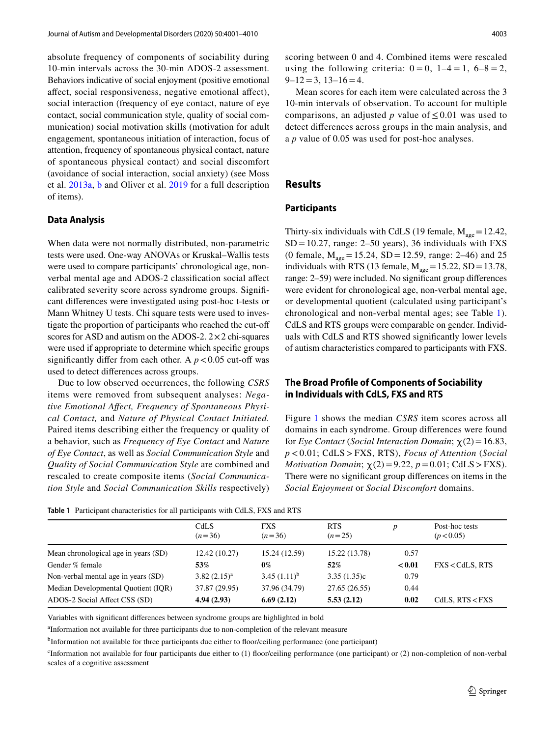absolute frequency of components of sociability during 10-min intervals across the 30-min ADOS-2 assessment. Behaviors indicative of social enjoyment (positive emotional afect, social responsiveness, negative emotional afect), social interaction (frequency of eye contact, nature of eye contact, social communication style, quality of social communication) social motivation skills (motivation for adult engagement, spontaneous initiation of interaction, focus of attention, frequency of spontaneous physical contact, nature of spontaneous physical contact) and social discomfort (avoidance of social interaction, social anxiety) (see Moss et al. [2013a,](#page-8-6) [b](#page-8-3) and Oliver et al. [2019](#page-8-7) for a full description of items).

### **Data Analysis**

When data were not normally distributed, non-parametric tests were used. One-way ANOVAs or Kruskal–Wallis tests were used to compare participants' chronological age, nonverbal mental age and ADOS-2 classifcation social afect calibrated severity score across syndrome groups. Signifcant diferences were investigated using post-hoc t-tests or Mann Whitney U tests. Chi square tests were used to investigate the proportion of participants who reached the cut-of scores for ASD and autism on the ADOS-2. 2×2 chi-squares were used if appropriate to determine which specifc groups significantly differ from each other. A  $p < 0.05$  cut-off was used to detect diferences across groups.

Due to low observed occurrences, the following *CSRS* items were removed from subsequent analyses: *Negative Emotional Afect, Frequency of Spontaneous Physical Contact,* and *Nature of Physical Contact Initiated.* Paired items describing either the frequency or quality of a behavior, such as *Frequency of Eye Contact* and *Nature of Eye Contact*, as well as *Social Communication Style* and *Quality of Social Communication Style* are combined and rescaled to create composite items (*Social Communication Style* and *Social Communication Skills* respectively) scoring between 0 and 4. Combined items were rescaled using the following criteria:  $0 = 0$ ,  $1-4 = 1$ ,  $6-8 = 2$ ,  $9-12=3$ ,  $13-16=4$ .

Mean scores for each item were calculated across the 3 10-min intervals of observation. To account for multiple comparisons, an adjusted *p* value of  $\leq 0.01$  was used to detect diferences across groups in the main analysis, and a *p* value of 0.05 was used for post-hoc analyses.

## **Results**

#### **Participants**

Thirty-six individuals with CdLS (19 female,  $M_{\text{age}}=12.42$ ,  $SD = 10.27$ , range: 2–50 years), 36 individuals with FXS (0 female,  $M_{\text{age}} = 15.24$ , SD = 12.59, range: 2–46) and 25 individuals with RTS (13 female,  $M_{\text{age}} = 15.22$ , SD = 13.78, range: 2–59) were included. No signifcant group diferences were evident for chronological age, non-verbal mental age, or developmental quotient (calculated using participant's chronological and non-verbal mental ages; see Table [1](#page-2-0)). CdLS and RTS groups were comparable on gender. Individuals with CdLS and RTS showed signifcantly lower levels of autism characteristics compared to participants with FXS.

## **The Broad Profle of Components of Sociability in Individuals with CdLS, FXS and RTS**

Figure [1](#page-3-0) shows the median *CSRS* item scores across all domains in each syndrome. Group diferences were found for *Eye Contact* (*Social Interaction Domain*;  $\gamma$  (2) = 16.83, *p* < 0.01; CdLS > FXS, RTS), *Focus of Attention* (*Social Motivation Domain*;  $\chi(2) = 9.22$ ,  $p = 0.01$ ; CdLS > FXS). There were no signifcant group diferences on items in the *Social Enjoyment* or *Social Discomfort* domains.

|                                      | CdLS<br>$(n=36)$ | <b>FXS</b><br>$(n=36)$ | <b>RTS</b><br>$(n=25)$ | $\boldsymbol{p}$ | Post-hoc tests<br>(p < 0.05)  |
|--------------------------------------|------------------|------------------------|------------------------|------------------|-------------------------------|
| Mean chronological age in years (SD) | 12.42(10.27)     | 15.24 (12.59)          | 15.22 (13.78)          | 0.57             |                               |
| Gender % female                      | 53%              | 0%                     | 52%                    | < 0.01           | <b>FXS &lt; CdLS, RTS</b>     |
| Non-verbal mental age in years (SD)  | $3.82 (2.15)^a$  | $3.45(1.11)^{b}$       | 3.35(1.35)c            | 0.79             |                               |
| Median Developmental Quotient (IQR)  | 37.87 (29.95)    | 37.96 (34.79)          | 27.65(26.55)           | 0.44             |                               |
| ADOS-2 Social Affect CSS (SD)        | 4.94(2.93)       | 6.69(2.12)             | 5.53(2.12)             | 0.02             | CdLS, RTS <fxs< td=""></fxs<> |

<span id="page-2-0"></span>**Table 1** Participant characteristics for all participants with CdLS, FXS and RTS

Variables with signifcant diferences between syndrome groups are highlighted in bold

<sup>a</sup>Information not available for three participants due to non-completion of the relevant measure

<sup>b</sup>Information not available for three participants due either to floor/ceiling performance (one participant)

c Information not available for four participants due either to (1) foor/ceiling performance (one participant) or (2) non-completion of non-verbal scales of a cognitive assessment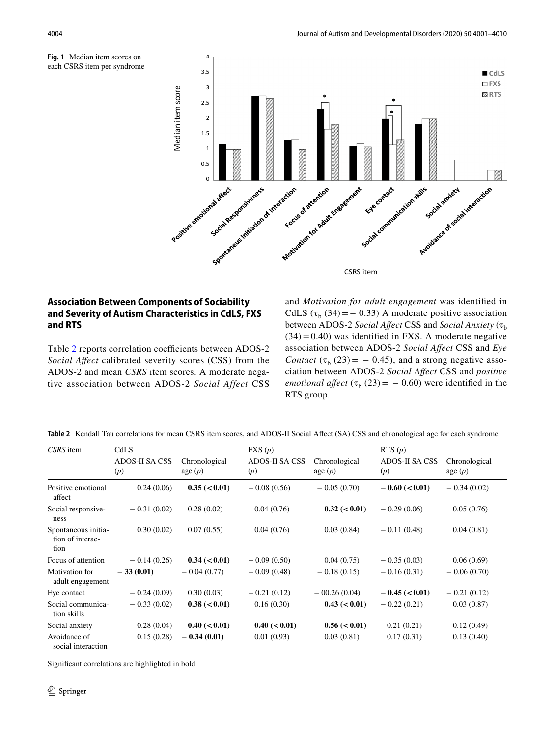<span id="page-3-0"></span>**Fig. 1** Median item scores on each CSRS item per syndrome



## **Association Between Components of Sociability and Severity of Autism Characteristics in CdLS, FXS and RTS**

Table [2](#page-3-1) reports correlation coefficients between ADOS-2 *Social Afect* calibrated severity scores (CSS) from the ADOS-2 and mean *CSRS* item scores. A moderate negative association between ADOS-2 *Social Affect* CSS and *Motivation for adult engagement* was identifed in CdLS ( $\tau_b$  (34) = − 0.33) A moderate positive association between ADOS-2 *Social Affect* CSS and *Social Anxiety* (τ<sub>b</sub>)  $(34) = 0.40$ ) was identified in FXS. A moderate negative association between ADOS-2 *Social Afect* CSS and *Eye Contact* ( $\tau_b$  (23) = − 0.45), and a strong negative association between ADOS-2 *Social Afect* CSS and *positive emotional affect* ( $\tau_b$  (23) = - 0.60) were identified in the RTS group.

<span id="page-3-1"></span>

|  | Table 2 Kendall Tau correlations for mean CSRS item scores, and ADOS-II Social Affect (SA) CSS and chronological age for each syndrome |  |  |  |  |  |
|--|----------------------------------------------------------------------------------------------------------------------------------------|--|--|--|--|--|
|--|----------------------------------------------------------------------------------------------------------------------------------------|--|--|--|--|--|

| CSRS item                                       | CdLS                         |                         |                              | $\text{FXS}(p)$         |                              | RTS $(p)$               |  |
|-------------------------------------------------|------------------------------|-------------------------|------------------------------|-------------------------|------------------------------|-------------------------|--|
|                                                 | <b>ADOS-II SA CSS</b><br>(p) | Chronological<br>age(p) | <b>ADOS-II SA CSS</b><br>(p) | Chronological<br>age(p) | <b>ADOS-II SA CSS</b><br>(p) | Chronological<br>age(p) |  |
| Positive emotional<br>affect                    | 0.24(0.06)                   | $0.35 \approx 0.01$     | $-0.08(0.56)$                | $-0.05(0.70)$           | $-0.60 (< 0.01)$             | $-0.34(0.02)$           |  |
| Social responsive-<br>ness                      | $-0.31(0.02)$                | 0.28(0.02)              | 0.04(0.76)                   | $0.32 \, (< 0.01)$      | $-0.29(0.06)$                | 0.05(0.76)              |  |
| Spontaneous initia-<br>tion of interac-<br>tion | 0.30(0.02)                   | 0.07(0.55)              | 0.04(0.76)                   | 0.03(0.84)              | $-0.11(0.48)$                | 0.04(0.81)              |  |
| Focus of attention                              | $-0.14(0.26)$                | $0.34 \, (< 0.01)$      | $-0.09(0.50)$                | 0.04(0.75)              | $-0.35(0.03)$                | 0.06(0.69)              |  |
| Motivation for<br>adult engagement              | $-33(0.01)$                  | $-0.04(0.77)$           | $-0.09(0.48)$                | $-0.18(0.15)$           | $-0.16(0.31)$                | $-0.06(0.70)$           |  |
| Eye contact                                     | $-0.24(0.09)$                | 0.30(0.03)              | $-0.21(0.12)$                | $-00.26(0.04)$          | $-0.45 \approx 0.01$         | $-0.21(0.12)$           |  |
| Social communica-<br>tion skills                | $-0.33(0.02)$                | 0.38 (< 0.01)           | 0.16(0.30)                   | 0.43 (< 0.01)           | $-0.22(0.21)$                | 0.03(0.87)              |  |
| Social anxiety                                  | 0.28(0.04)                   | 0.40 (< 0.01)           | 0.40 (< 0.01)                | $0.56 \, (< 0.01)$      | 0.21(0.21)                   | 0.12(0.49)              |  |
| Avoidance of<br>social interaction              | 0.15(0.28)                   | $-0.34(0.01)$           | 0.01(0.93)                   | 0.03(0.81)              | 0.17(0.31)                   | 0.13(0.40)              |  |

Signifcant correlations are highlighted in bold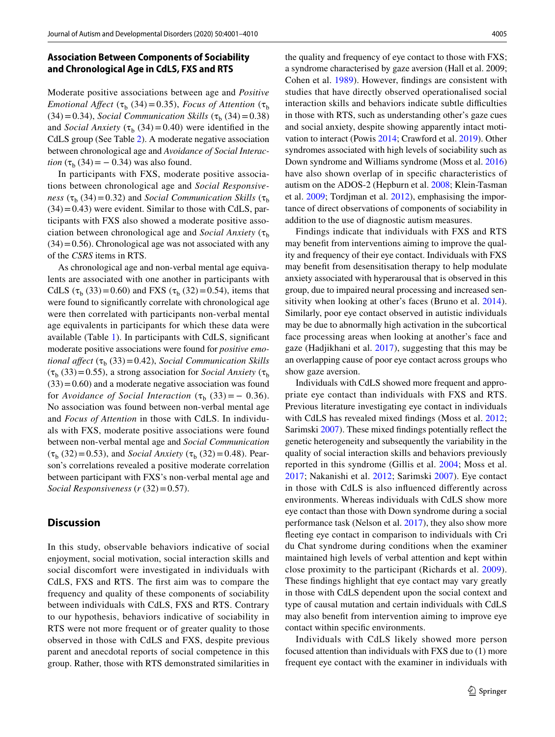## **Association Between Components of Sociability and Chronological Age in CdLS, FXS and RTS**

Moderate positive associations between age and *Positive Emotional Affect* ( $\tau_b$  (34) = 0.35), *Focus of Attention* ( $\tau_b$ (34)=0.34), *Social Communication Skills* ( $\tau_b$  (34)=0.38) and *Social Anxiety* ( $\tau_b$  (34)=0.40) were identified in the CdLS group (See Table [2\)](#page-3-1). A moderate negative association between chronological age and *Avoidance of Social Interaction* ( $\tau_b$  (34) = − 0.34) was also found.

In participants with FXS, moderate positive associations between chronological age and *Social Responsiveness* ( $\tau_b$  (34)=0.32) and *Social Communication Skills* ( $\tau_b$  $(34)=0.43$ ) were evident. Similar to those with CdLS, participants with FXS also showed a moderate positive association between chronological age and *Social Anxiety* (τ<sub>b</sub>)  $(34)=0.56$ ). Chronological age was not associated with any of the *CSRS* items in RTS.

As chronological age and non-verbal mental age equivalents are associated with one another in participants with CdLS ( $\tau_b$  (33)=0.60) and FXS ( $\tau_b$  (32)=0.54), items that were found to signifcantly correlate with chronological age were then correlated with participants non-verbal mental age equivalents in participants for which these data were available (Table [1\)](#page-2-0). In participants with CdLS, signifcant moderate positive associations were found for *positive emotional affect* ( $\tau_b$  (33) = 0.42), *Social Communication Skills*  $(\tau_{\rm b}$  (33)=0.55), a strong association for *Social Anxiety* ( $\tau_{\rm b}$  $(33)=0.60$ ) and a moderate negative association was found for *Avoidance of Social Interaction* ( $\tau_b$  (33) = – 0.36). No association was found between non-verbal mental age and *Focus of Attention* in those with CdLS. In individuals with FXS, moderate positive associations were found between non-verbal mental age and *Social Communication*  $(\tau_{\rm b} (32)=0.53)$ , and *Social Anxiety* ( $\tau_{\rm b} (32)=0.48$ ). Pearson's correlations revealed a positive moderate correlation between participant with FXS's non-verbal mental age and *Social Responsiveness* (*r* (32)=0.57).

## **Discussion**

In this study, observable behaviors indicative of social enjoyment, social motivation, social interaction skills and social discomfort were investigated in individuals with CdLS, FXS and RTS. The frst aim was to compare the frequency and quality of these components of sociability between individuals with CdLS, FXS and RTS. Contrary to our hypothesis, behaviors indicative of sociability in RTS were not more frequent or of greater quality to those observed in those with CdLS and FXS, despite previous parent and anecdotal reports of social competence in this group. Rather, those with RTS demonstrated similarities in the quality and frequency of eye contact to those with FXS; a syndrome characterised by gaze aversion (Hall et al. 2009; Cohen et al. [1989\)](#page-7-15). However, fndings are consistent with studies that have directly observed operationalised social interaction skills and behaviors indicate subtle difficulties in those with RTS, such as understanding other's gaze cues and social anxiety, despite showing apparently intact motivation to interact (Powis [2014](#page-8-21); Crawford et al. [2019\)](#page-7-16). Other syndromes associated with high levels of sociability such as Down syndrome and Williams syndrome (Moss et al. [2016](#page-8-4)) have also shown overlap of in specifc characteristics of autism on the ADOS-2 (Hepburn et al. [2008;](#page-7-17) Klein-Tasman et al. [2009](#page-7-18); Tordjman et al. [2012\)](#page-9-7), emphasising the importance of direct observations of components of sociability in addition to the use of diagnostic autism measures.

Findings indicate that individuals with FXS and RTS may beneft from interventions aiming to improve the quality and frequency of their eye contact. Individuals with FXS may beneft from desensitisation therapy to help modulate anxiety associated with hyperarousal that is observed in this group, due to impaired neural processing and increased sensitivity when looking at other's faces (Bruno et al. [2014](#page-6-4)). Similarly, poor eye contact observed in autistic individuals may be due to abnormally high activation in the subcortical face processing areas when looking at another's face and gaze (Hadjikhani et al. [2017](#page-7-19)), suggesting that this may be an overlapping cause of poor eye contact across groups who show gaze aversion.

Individuals with CdLS showed more frequent and appropriate eye contact than individuals with FXS and RTS. Previous literature investigating eye contact in individuals with CdLS has revealed mixed fndings (Moss et al. [2012](#page-8-22); Sarimski [2007](#page-9-8)). These mixed fndings potentially refect the genetic heterogeneity and subsequently the variability in the quality of social interaction skills and behaviors previously reported in this syndrome (Gillis et al. [2004](#page-7-20); Moss et al. [2017;](#page-8-15) Nakanishi et al. [2012;](#page-8-16) Sarimski [2007\)](#page-9-8). Eye contact in those with CdLS is also infuenced diferently across environments. Whereas individuals with CdLS show more eye contact than those with Down syndrome during a social performance task (Nelson et al. [2017](#page-8-23)), they also show more feeting eye contact in comparison to individuals with Cri du Chat syndrome during conditions when the examiner maintained high levels of verbal attention and kept within close proximity to the participant (Richards et al. [2009](#page-8-10)). These fndings highlight that eye contact may vary greatly in those with CdLS dependent upon the social context and type of causal mutation and certain individuals with CdLS may also beneft from intervention aiming to improve eye contact within specifc environments.

Individuals with CdLS likely showed more person focused attention than individuals with FXS due to (1) more frequent eye contact with the examiner in individuals with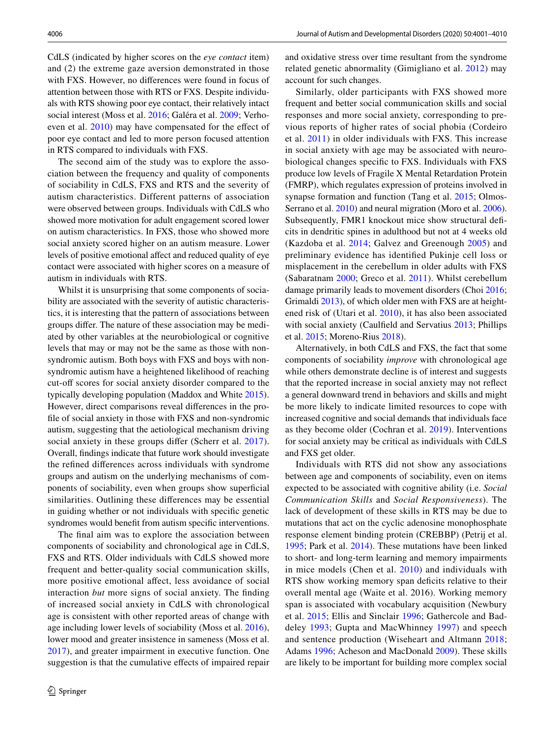CdLS (indicated by higher scores on the *eye contact* item) and (2) the extreme gaze aversion demonstrated in those with FXS. However, no diferences were found in focus of attention between those with RTS or FXS. Despite individuals with RTS showing poor eye contact, their relatively intact social interest (Moss et al. [2016](#page-8-4); Galéra et al. [2009](#page-7-0); Verho-even et al. [2010\)](#page-9-9) may have compensated for the effect of poor eye contact and led to more person focused attention in RTS compared to individuals with FXS.

The second aim of the study was to explore the association between the frequency and quality of components of sociability in CdLS, FXS and RTS and the severity of autism characteristics. Different patterns of association were observed between groups. Individuals with CdLS who showed more motivation for adult engagement scored lower on autism characteristics. In FXS, those who showed more social anxiety scored higher on an autism measure. Lower levels of positive emotional affect and reduced quality of eye contact were associated with higher scores on a measure of autism in individuals with RTS.

Whilst it is unsurprising that some components of sociability are associated with the severity of autistic characteristics, it is interesting that the pattern of associations between groups difer. The nature of these association may be mediated by other variables at the neurobiological or cognitive levels that may or may not be the same as those with nonsyndromic autism. Both boys with FXS and boys with nonsyndromic autism have a heightened likelihood of reaching cut-off scores for social anxiety disorder compared to the typically developing population (Maddox and White [2015](#page-8-24)). However, direct comparisons reveal diferences in the profle of social anxiety in those with FXS and non-syndromic autism, suggesting that the aetiological mechanism driving social anxiety in these groups differ (Scherr et al. [2017](#page-9-10)). Overall, fndings indicate that future work should investigate the refned diferences across individuals with syndrome groups and autism on the underlying mechanisms of components of sociability, even when groups show superfcial similarities. Outlining these diferences may be essential in guiding whether or not individuals with specifc genetic syndromes would beneft from autism specifc interventions.

The fnal aim was to explore the association between components of sociability and chronological age in CdLS, FXS and RTS. Older individuals with CdLS showed more frequent and better-quality social communication skills, more positive emotional afect, less avoidance of social interaction *but* more signs of social anxiety. The fnding of increased social anxiety in CdLS with chronological age is consistent with other reported areas of change with age including lower levels of sociability (Moss et al. [2016](#page-8-4)), lower mood and greater insistence in sameness (Moss et al. [2017\)](#page-8-15), and greater impairment in executive function. One suggestion is that the cumulative effects of impaired repair and oxidative stress over time resultant from the syndrome related genetic abnormality (Gimigliano et al. [2012\)](#page-7-21) may account for such changes.

Similarly, older participants with FXS showed more frequent and better social communication skills and social responses and more social anxiety, corresponding to previous reports of higher rates of social phobia (Cordeiro et al. [2011\)](#page-7-22) in older individuals with FXS. This increase in social anxiety with age may be associated with neurobiological changes specifc to FXS. Individuals with FXS produce low levels of Fragile X Mental Retardation Protein (FMRP), which regulates expression of proteins involved in synapse formation and function (Tang et al. [2015](#page-9-11); Olmos-Serrano et al. [2010](#page-8-25)) and neural migration (Moro et al. [2006](#page-8-26)). Subsequently, FMR1 knockout mice show structural defcits in dendritic spines in adulthood but not at 4 weeks old (Kazdoba et al. [2014](#page-7-23); Galvez and Greenough [2005\)](#page-7-24) and preliminary evidence has identifed Pukinje cell loss or misplacement in the cerebellum in older adults with FXS (Sabaratnam [2000;](#page-8-27) Greco et al. [2011](#page-7-25)). Whilst cerebellum damage primarily leads to movement disorders (Choi [2016](#page-6-5); Grimaldi [2013](#page-7-26)), of which older men with FXS are at heightened risk of (Utari et al. [2010\)](#page-9-12), it has also been associated with social anxiety (Caulfield and Servatius [2013;](#page-6-6) Phillips et al. [2015](#page-8-28); Moreno-Rius [2018](#page-8-29)).

Alternatively, in both CdLS and FXS, the fact that some components of sociability *improve* with chronological age while others demonstrate decline is of interest and suggests that the reported increase in social anxiety may not refect a general downward trend in behaviors and skills and might be more likely to indicate limited resources to cope with increased cognitive and social demands that individuals face as they become older (Cochran et al. [2019](#page-7-27)). Interventions for social anxiety may be critical as individuals with CdLS and FXS get older.

Individuals with RTS did not show any associations between age and components of sociability, even on items expected to be associated with cognitive ability (i.e. *Social Communication Skills* and *Social Responsiveness*). The lack of development of these skills in RTS may be due to mutations that act on the cyclic adenosine monophosphate response element binding protein (CREBBP) (Petrij et al. [1995](#page-8-30); Park et al. [2014\)](#page-8-31). These mutations have been linked to short- and long-term learning and memory impairments in mice models (Chen et al. [2010\)](#page-6-7) and individuals with RTS show working memory span deficits relative to their overall mental age (Waite et al. 2016). Working memory span is associated with vocabulary acquisition (Newbury et al. [2015](#page-8-23); Ellis and Sinclair [1996](#page-7-28); Gathercole and Baddeley [1993;](#page-7-29) Gupta and MacWhinney [1997\)](#page-7-30) and speech and sentence production (Wiseheart and Altmann [2018](#page-9-13); Adams [1996](#page-6-8); Acheson and MacDonald [2009\)](#page-6-9). These skills are likely to be important for building more complex social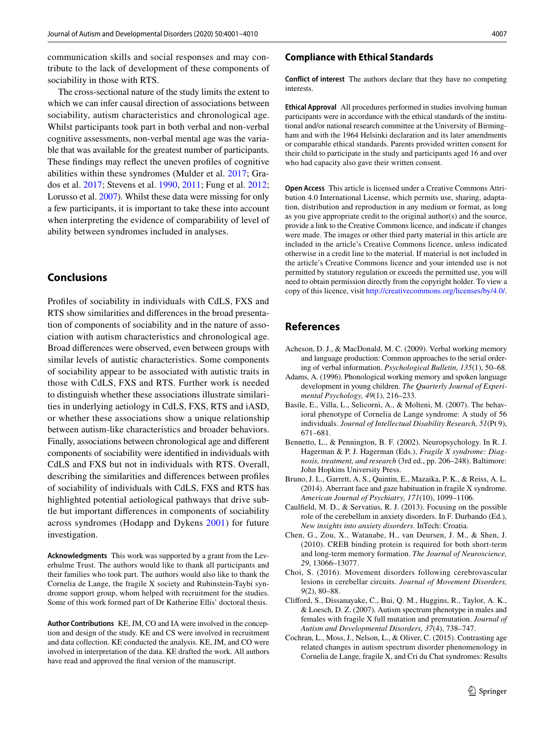communication skills and social responses and may contribute to the lack of development of these components of sociability in those with RTS.

The cross-sectional nature of the study limits the extent to which we can infer causal direction of associations between sociability, autism characteristics and chronological age. Whilst participants took part in both verbal and non-verbal cognitive assessments, non-verbal mental age was the variable that was available for the greatest number of participants. These fndings may refect the uneven profles of cognitive abilities within these syndromes (Mulder et al. [2017;](#page-8-2) Grados et al. [2017;](#page-7-3) Stevens et al. [1990,](#page-9-14) [2011;](#page-9-15) Fung et al. [2012](#page-7-31); Lorusso et al. [2007](#page-8-32)). Whilst these data were missing for only a few participants, it is important to take these into account when interpreting the evidence of comparability of level of ability between syndromes included in analyses.

# **Conclusions**

Profles of sociability in individuals with CdLS, FXS and RTS show similarities and diferences in the broad presentation of components of sociability and in the nature of association with autism characteristics and chronological age. Broad diferences were observed, even between groups with similar levels of autistic characteristics. Some components of sociability appear to be associated with autistic traits in those with CdLS, FXS and RTS. Further work is needed to distinguish whether these associations illustrate similarities in underlying aetiology in CdLS, FXS, RTS and iASD, or whether these associations show a unique relationship between autism-like characteristics and broader behaviors. Finally, associations between chronological age and diferent components of sociability were identifed in individuals with CdLS and FXS but not in individuals with RTS. Overall, describing the similarities and diferences between profles of sociability of individuals with CdLS, FXS and RTS has highlighted potential aetiological pathways that drive subtle but important diferences in components of sociability across syndromes (Hodapp and Dykens [2001](#page-7-32)) for future investigation.

**Acknowledgments** This work was supported by a grant from the Leverhulme Trust. The authors would like to thank all participants and their families who took part. The authors would also like to thank the Cornelia de Lange, the fragile X society and Rubinstein-Taybi syndrome support group, whom helped with recruitment for the studies. Some of this work formed part of Dr Katherine Ellis' doctoral thesis.

**Author Contributions** KE, JM, CO and IA were involved in the conception and design of the study. KE and CS were involved in recruitment and data collection. KE conducted the analysis. KE, JM, and CO were involved in interpretation of the data. KE drafted the work. All authors have read and approved the fnal version of the manuscript.

#### **Compliance with Ethical Standards**

**Conflict of interest** The authors declare that they have no competing interests.

**Ethical Approval** All procedures performed in studies involving human participants were in accordance with the ethical standards of the institutional and/or national research committee at the University of Birmingham and with the 1964 Helsinki declaration and its later amendments or comparable ethical standards. Parents provided written consent for their child to participate in the study and participants aged 16 and over who had capacity also gave their written consent.

**Open Access** This article is licensed under a Creative Commons Attribution 4.0 International License, which permits use, sharing, adaptation, distribution and reproduction in any medium or format, as long as you give appropriate credit to the original author(s) and the source, provide a link to the Creative Commons licence, and indicate if changes were made. The images or other third party material in this article are included in the article's Creative Commons licence, unless indicated otherwise in a credit line to the material. If material is not included in the article's Creative Commons licence and your intended use is not permitted by statutory regulation or exceeds the permitted use, you will need to obtain permission directly from the copyright holder. To view a copy of this licence, visit<http://creativecommons.org/licenses/by/4.0/>.

# **References**

- <span id="page-6-9"></span>Acheson, D. J., & MacDonald, M. C. (2009). Verbal working memory and language production: Common approaches to the serial ordering of verbal information. *Psychological Bulletin, 135*(1), 50–68.
- <span id="page-6-8"></span>Adams, A. (1996). Phonological working memory and spoken language development in young children. *The Quarterly Journal of Experimental Psychology, 49*(1), 216–233.
- <span id="page-6-1"></span>Basile, E., Villa, L., Selicorni, A., & Molteni, M. (2007). The behavioral phenotype of Cornelia de Lange syndrome: A study of 56 individuals. *Journal of Intellectual Disability Research, 51*(Pt 9), 671–681.
- <span id="page-6-0"></span>Bennetto, L., & Pennington, B. F. (2002). Neuropsychology. In R. J. Hagerman & P. J. Hagerman (Eds.), *Fragile X syndrome: Diagnosis, treatment, and research* (3rd ed., pp. 206–248). Baltimore: John Hopkins University Press.
- <span id="page-6-4"></span>Bruno, J. L., Garrett, A. S., Quintin, E., Mazaika, P. K., & Reiss, A. L. (2014). Aberrant face and gaze habituation in fragile X syndrome. *American Journal of Psychiatry, 171*(10), 1099–1106.
- <span id="page-6-6"></span>Caulfeld, M. D., & Servatius, R. J. (2013). Focusing on the possible role of the cerebellum in anxiety disorders. In F. Durbando (Ed.), *New insights into anxiety disorders*. InTech: Croatia.
- <span id="page-6-7"></span>Chen, G., Zou, X., Watanabe, H., van Deursen, J. M., & Shen, J. (2010). CREB binding protein is required for both short-term and long-term memory formation. *The Journal of Neuroscience, 29*, 13066–13077.
- <span id="page-6-5"></span>Choi, S. (2016). Movement disorders following cerebrovascular lesions in cerebellar circuits. *Journal of Movement Disorders, 9*(2), 80–88.
- <span id="page-6-3"></span>Cliford, S., Dissanayake, C., Bui, Q. M., Huggins, R., Taylor, A. K., & Loesch, D. Z. (2007). Autism spectrum phenotype in males and females with fragile X full mutation and premutation. *Journal of Autism and Developmental Disorders, 37*(4), 738–747.
- <span id="page-6-2"></span>Cochran, L., Moss, J., Nelson, L., & Oliver, C. (2015). Contrasting age related changes in autism spectrum disorder phenomenology in Cornelia de Lange, fragile X, and Cri du Chat syndromes: Results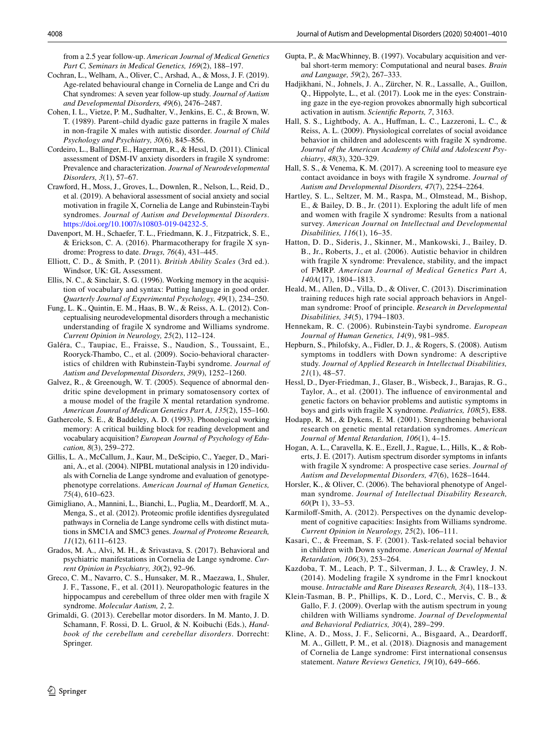from a 2.5 year follow-up. *American Journal of Medical Genetics Part C, Seminars in Medical Genetics, 169*(2), 188–197.

- <span id="page-7-27"></span>Cochran, L., Welham, A., Oliver, C., Arshad, A., & Moss, J. F. (2019). Age-related behavioural change in Cornelia de Lange and Cri du Chat syndromes: A seven year follow-up study. *Journal of Autism and Developmental Disorders, 49*(6), 2476–2487.
- <span id="page-7-15"></span>Cohen, I. L., Vietze, P. M., Sudhalter, V., Jenkins, E. C., & Brown, W. T. (1989). Parent–child dyadic gaze patterns in fragile X males in non-fragile X males with autistic disorder. *Journal of Child Psychology and Psychiatry, 30*(6), 845–856.
- <span id="page-7-22"></span>Cordeiro, L., Ballinger, E., Hagerman, R., & Hessl, D. (2011). Clinical assessment of DSM-IV anxiety disorders in fragile X syndrome: Prevalence and characterization. *Journal of Neurodevelopmental Disorders, 3*(1), 57–67.
- <span id="page-7-16"></span>Crawford, H., Moss, J., Groves, L., Downlen, R., Nelson, L., Reid, D., et al. (2019). A behavioral assessment of social anxiety and social motivation in fragile X, Cornelia de Lange and Rubinstein-Taybi syndromes. *Journal of Autism and Developmental Disorders*. <https://doi.org/10.1007/s10803-019-04232-5>.
- <span id="page-7-5"></span>Davenport, M. H., Schaefer, T. L., Friedmann, K. J., Fitzpatrick, S. E., & Erickson, C. A. (2016). Pharmacotherapy for fragile X syndrome: Progress to date. *Drugs, 76*(4), 431–445.
- <span id="page-7-14"></span>Elliott, C. D., & Smith, P. (2011). *British Ability Scales* (3rd ed.). Windsor, UK: GL Assessment.
- <span id="page-7-28"></span>Ellis, N. C., & Sinclair, S. G. (1996). Working memory in the acquisition of vocabulary and syntax: Putting language in good order. *Quarterly Journal of Experimental Psychology, 49*(1), 234–250.
- <span id="page-7-31"></span>Fung, L. K., Quintin, E. M., Haas, B. W., & Reiss, A. L. (2012). Conceptualising neurodevelopmental disorders through a mechanistic understanding of fragile X syndrome and Williams syndrome. *Current Opinion in Neurology, 25*(2), 112–124.
- <span id="page-7-0"></span>Galéra, C., Taupiac, E., Fraisse, S., Naudion, S., Toussaint, E., Rooryck-Thambo, C., et al. (2009). Socio-behavioral characteristics of children with Rubinstein-Taybi syndrome. *Journal of Autism and Developmental Disorders*, *39*(9), 1252–1260.
- <span id="page-7-24"></span>Galvez, R., & Greenough, W. T. (2005). Sequence of abnormal dendritic spine development in primary somatosensory cortex of a mouse model of the fragile X mental retardation syndrome. *American Jounral of Medican Genetics Part A, 135*(2), 155–160.
- <span id="page-7-29"></span>Gathercole, S. E., & Baddeley, A. D. (1993). Phonological working memory: A critical building block for reading development and vocabulary acquisition? *European Journal of Psychology of Education, 8*(3), 259–272.
- <span id="page-7-20"></span>Gillis, L. A., McCallum, J., Kaur, M., DeScipio, C., Yaeger, D., Mariani, A., et al. (2004). NIPBL mutational analysis in 120 individuals with Cornelia de Lange syndrome and evaluation of genotypephenotype correlations. *American Journal of Human Genetics, 75*(4), 610–623.
- <span id="page-7-21"></span>Gimigliano, A., Mannini, L., Bianchi, L., Puglia, M., Deardorff, M. A., Menga, S., et al. (2012). Proteomic profle identifes dysregulated pathways in Cornelia de Lange syndrome cells with distinct mutations in SMC1A and SMC3 genes. *Journal of Proteome Research, 11*(12), 6111–6123.
- <span id="page-7-3"></span>Grados, M. A., Alvi, M. H., & Srivastava, S. (2017). Behavioral and psychiatric manifestations in Cornelia de Lange syndrome. *Current Opinion in Psychiatry, 30*(2), 92–96.
- <span id="page-7-25"></span>Greco, C. M., Navarro, C. S., Hunsaker, M. R., Maezawa, I., Shuler, J. F., Tassone, F., et al. (2011). Neuropathologic features in the hippocampus and cerebellum of three older men with fragile X syndrome. *Molecular Autism, 2*, 2.
- <span id="page-7-26"></span>Grimaldi, G. (2013). Cerebellar motor disorders. In M. Manto, J. D. Schamann, F. Rossi, D. L. Gruol, & N. Koibuchi (Eds.), *Handbook of the cerebellum and cerebellar disorders*. Dorrecht: Springer.
- <span id="page-7-30"></span>Gupta, P., & MacWhinney, B. (1997). Vocabulary acquisition and verbal short-term memory: Computational and neural bases. *Brain and Language, 59*(2), 267–333.
- <span id="page-7-19"></span>Hadjikhani, N., Johnels, J. A., Zürcher, N. R., Lassalle, A., Guillon, Q., Hippolyte, L., et al. (2017). Look me in the eyes: Constraining gaze in the eye-region provokes abnormally high subcortical activation in autism. *Scientifc Reports, 7*, 3163.
- Hall, S. S., Lightbody, A. A., Hufman, L. C., Lazzeroni, L. C., & Reiss, A. L. (2009). Physiological correlates of social avoidance behavior in children and adolescents with fragile X syndrome. *Journal of the American Academy of Child and Adolescent Psychiatry*, *48*(3), 320–329.
- <span id="page-7-10"></span>Hall, S. S., & Venema, K. M. (2017). A screening tool to measure eye contact avoidance in boys with fragile X syndrome. *Journal of Autism and Developmental Disorders, 47*(7), 2254–2264.
- <span id="page-7-12"></span>Hartley, S. L., Seltzer, M. M., Raspa, M., Olmstead, M., Bishop, E., & Bailey, D. B., Jr. (2011). Exploring the adult life of men and women with fragile X syndrome: Results from a national survey. *American Journal on Intellectual and Developmental Disabilities, 116*(1), 16–35.
- <span id="page-7-11"></span>Hatton, D. D., Sideris, J., Skinner, M., Mankowski, J., Bailey, D. B., Jr., Roberts, J., et al. (2006). Autistic behavior in children with fragile X syndrome: Prevalence, stability, and the impact of FMRP. *American Journal of Medical Genetics Part A, 140A*(17), 1804–1813.
- <span id="page-7-7"></span>Heald, M., Allen, D., Villa, D., & Oliver, C. (2013). Discrimination training reduces high rate social approach behaviors in Angelman syndrome: Proof of principle. *Research in Developmental Disabilities, 34*(5), 1794–1803.
- <span id="page-7-8"></span>Hennekam, R. C. (2006). Rubinstein-Taybi syndrome. *European Journal of Human Genetics, 14*(9), 981–985.
- <span id="page-7-17"></span>Hepburn, S., Philofsky, A., Fidler, D. J., & Rogers, S. (2008). Autism symptoms in toddlers with Down syndrome: A descriptive study. *Journal of Applied Research in Intellectual Disabilities, 21*(1), 48–57.
- <span id="page-7-13"></span>Hessl, D., Dyer-Friedman, J., Glaser, B., Wisbeck, J., Barajas, R. G., Taylor, A., et al. (2001). The infuence of environmental and genetic factors on behavior problems and autistic symptoms in boys and girls with fragile X syndrome. *Pediatrics, 108*(5), E88.
- <span id="page-7-32"></span>Hodapp, R. M., & Dykens, E. M. (2001). Strengthening behavioral research on genetic mental retardation syndromes. *American Journal of Mental Retardation, 106*(1), 4–15.
- <span id="page-7-4"></span>Hogan, A. L., Caravella, K. E., Ezell, J., Rague, L., Hills, K., & Roberts, J. E. (2017). Autism spectrum disorder symptoms in infants with fragile X syndrome: A prospective case series. *Journal of Autism and Developmental Disorders, 47*(6), 1628–1644.
- <span id="page-7-6"></span>Horsler, K., & Oliver, C. (2006). The behavioral phenotype of Angelman syndrome. *Journal of Intellectual Disability Research, 60*(Pt 1), 33–53.
- <span id="page-7-2"></span>Karmiloff-Smith, A. (2012). Perspectives on the dynamic development of cognitive capacities: Insights from Williams syndrome. *Current Opinion in Neurology, 25*(2), 106–111.
- <span id="page-7-1"></span>Kasari, C., & Freeman, S. F. (2001). Task-related social behavior in children with Down syndrome. *American Journal of Mental Retardation, 106*(3), 253–264.
- <span id="page-7-23"></span>Kazdoba, T. M., Leach, P. T., Silverman, J. L., & Crawley, J. N. (2014). Modeling fragile X syndrome in the Fmr1 knockout mouse. *Intractable and Rare Diseases Research, 3*(4), 118–133.
- <span id="page-7-18"></span>Klein-Tasman, B. P., Phillips, K. D., Lord, C., Mervis, C. B., & Gallo, F. J. (2009). Overlap with the autism spectrum in young children with Williams syndrome. *Journal of Developmental and Behavioral Pediatrics, 30*(4), 289–299.
- <span id="page-7-9"></span>Kline, A. D., Moss, J. F., Selicorni, A., Bisgaard, A., Deardorf, M. A., Gillett, P. M., et al. (2018). Diagnosis and management of Cornelia de Lange syndrome: First international consensus statement. *Nature Reviews Genetics, 19*(10), 649–666.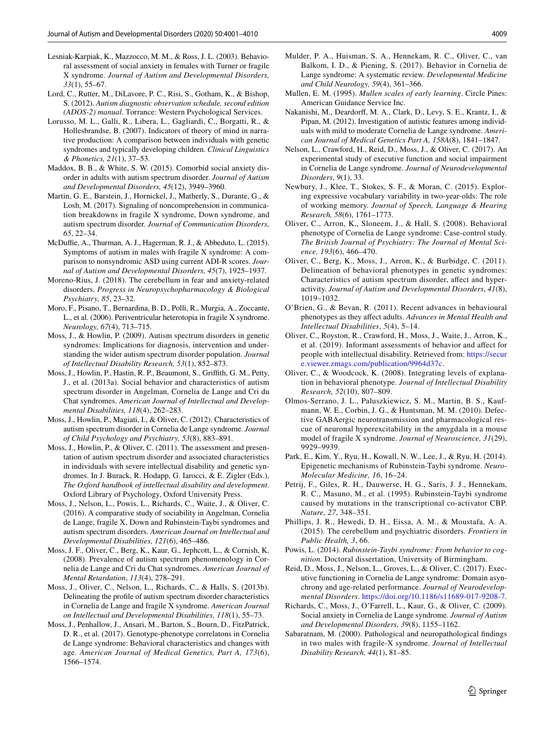- <span id="page-8-0"></span>Lesniak-Karpiak, K., Mazzocco, M. M., & Ross, J. L. (2003). Behavioral assessment of social anxiety in females with Turner or fragile X syndrome. *Journal of Autism and Developmental Disorders, 33*(1), 55–67.
- <span id="page-8-19"></span>Lord, C., Rutter, M., DiLavore, P. C., Risi, S., Gotham, K., & Bishop, S. (2012). *Autism diagnostic observation schedule, second edition (ADOS-2) manual*. Torrance: Western Psychological Services.
- <span id="page-8-32"></span>Lorusso, M. L., Galli, R., Libera, L., Gagliardi, C., Borgatti, R., & Hollesbrandse, B. (2007). Indicators of theory of mind in narrative production: A comparison between individuals with genetic syndromes and typically developing children. *Clinical Linguistics & Phonetics, 21*(1), 37–53.
- <span id="page-8-24"></span>Maddox, B. B., & White, S. W. (2015). Comorbid social anxiety disorder in adults with autism spectrum disorder. *Journal of Autism and Developmental Disorders, 45*(12), 3949–3960.
- <span id="page-8-14"></span>Martin, G. E., Barstein, J., Hornickel, J., Matherly, S., Durante, G., & Losh, M. (2017). Signaling of noncomprehension in communication breakdowns in fragile X syndrome, Down syndrome, and autism spectrum disorder. *Journal of Communication Disorders, 65*, 22–34.
- <span id="page-8-12"></span>McDuffie, A., Thurman, A. J., Hagerman, R. J., & Abbeduto, L. (2015). Symptoms of autism in males with fragile X syndrome: A comparison to nonsyndromic ASD using current ADI-R scores. *Journal of Autism and Developmental Disorders, 45*(7), 1925–1937.
- <span id="page-8-29"></span>Moreno-Rius, J. (2018). The cerebellum in fear and anxiety-related disorders. *Progress in Neuropsychopharmacology & Biological Psychiatry, 85*, 23–32.
- <span id="page-8-26"></span>Moro, F., Pisano, T., Bernardina, B. D., Polli, R., Murgia, A., Zoccante, L., et al. (2006). Periventricular heterotopia in fragile X syndrome. *Neurology, 67*(4), 713–715.
- <span id="page-8-5"></span>Moss, J., & Howlin, P. (2009). Autism spectrum disorders in genetic syndromes: Implications for diagnosis, intervention and understanding the wider autism spectrum disorder population. *Journal of Intellectual Disability Research, 53*(1), 852–873.
- <span id="page-8-6"></span>Moss, J., Howlin, P., Hastin, R. P., Beaumont, S., Grifth, G. M., Petty, J., et al. (2013a). Social behavior and characteristics of autism spectrum disorder in Angelman, Cornelia de Lange and Cri du Chat syndromes. *American Journal of Intellectual and Developmental Disabilities, 118*(4), 262–283.
- <span id="page-8-22"></span>Moss, J., Howlin, P., Magiati, I., & Oliver, C. (2012). Characteristics of autism spectrum disorder in Cornelia de Lange syndrome. *Journal of Child Psychology and Psychiatry, 53*(8), 883–891.
- <span id="page-8-18"></span>Moss, J., Howlin, P., & Oliver, C. (2011). The assessment and presentation of autism spectrum disorder and associated characteristics in individuals with severe intellectual disability and genetic syndromes. In J. Burack, R. Hodapp, G. Iarocci, & E. Zigler (Eds.), *The Oxford handbook of intellectual disability and development*. Oxford Library of Psychology, Oxford University Press.
- <span id="page-8-4"></span>Moss, J., Nelson, L., Powis, L., Richards, C., Waite, J., & Oliver, C. (2016). A comparative study of sociability in Angelman, Cornelia de Lange, fragile X, Down and Rubinstein-Taybi syndromes and autism spectrum disorders. *American Journal on Intellectual and Developmental Disabilities, 121*(6), 465–486.
- <span id="page-8-13"></span>Moss, J. F., Oliver, C., Berg, K., Kaur, G., Jephcott, L., & Cornish, K. (2008). Prevalence of autism spectrum phenomenology in Cornelia de Lange and Cri du Chat syndromes. *American Journal of Mental Retardation*, *113*(4), 278–291.
- <span id="page-8-3"></span>Moss, J., Oliver, C., Nelson, L., Richards, C., & Halls, S. (2013b). Delineating the profle of autism spectrum disorder characteristics in Cornelia de Lange and fragile X syndrome. *American Journal on Intellectual and Developmental Disabilities, 118*(1), 55–73.
- <span id="page-8-15"></span>Moss, J., Penhallow, J., Ansari, M., Barton, S., Bourn, D., FitzPatrick, D. R., et al. (2017). Genotype-phenotype correlatons in Cornelia de Lange syndrome: Behavioral characteristics and changes with age. *American Journal of Medical Genetics, Part A, 173*(6), 1566–1574.
- <span id="page-8-2"></span>Mulder, P. A., Huisman, S. A., Hennekam, R. C., Oliver, C., van Balkom, I. D., & Piening, S. (2017). Behavior in Cornelia de Lange syndrome: A systematic review. *Developmental Medicine and Child Neurology, 59*(4), 361–366.
- <span id="page-8-20"></span>Mullen, E. M. (1995). *Mullen scales of early learning*. Circle Pines: American Guidance Service Inc.
- <span id="page-8-16"></span>Nakanishi, M., Deardorf, M. A., Clark, D., Levy, S. E., Krantz, I., & Pipan, M. (2012). Investigation of autistic features among individuals with mild to moderate Cornelia de Lange syndrome. *American Journal of Medical Genetics Part A, 158A*(8), 1841–1847.
- Nelson, L., Crawford, H., Reid, D., Moss, J., & Oliver, C. (2017). An experimental study of executive function and social impairment in Cornelia de Lange syndrome. *Journal of Neurodevelopmental Disorders*, *9*(1), 33.
- <span id="page-8-23"></span>Newbury, J., Klee, T., Stokes, S. F., & Moran, C. (2015). Exploring expressive vocabulary variability in two-year-olds: The role of working memory. *Journal of Speech, Language & Hearing Research, 58*(6), 1761–1773.
- <span id="page-8-8"></span>Oliver, C., Arron, K., Sloneem, J., & Hall, S. (2008). Behavioral phenotype of Cornelia de Lange syndrome: Case-control study. *The British Journal of Psychiatry: The Journal of Mental Science, 193*(6), 466–470.
- <span id="page-8-11"></span>Oliver, C., Berg, K., Moss, J., Arron, K., & Burbidge, C. (2011). Delineation of behavioral phenotypes in genetic syndromes: Characteristics of autism spectrum disorder, afect and hyperactivity. *Journal of Autism and Developmental Disorders*, *41*(8), 1019–1032.
- <span id="page-8-17"></span>O'Brien, G., & Bevan, R. (2011). Recent advances in behavioural phenotypes as they affect adults. *Advances in Mental Health and Intellectual Disabilities*, *5*(4), 5–14.
- <span id="page-8-7"></span>Oliver, C., Royston, R., Crawford, H., Moss, J., Waite, J., Arron, K., et al. (2019). Informant assessments of behavior and afect for people with intellectual disability. Retrieved from: [https://secur](https://secure.viewer.zmags.com/publication/9964d37c) [e.viewer.zmags.com/publication/9964d37c.](https://secure.viewer.zmags.com/publication/9964d37c)
- <span id="page-8-1"></span>Oliver, C., & Woodcock, K. (2008). Integrating levels of explanation in behavioral phenotype. *Journal of Intellectual Disability Research, 52*(10), 807–809.
- <span id="page-8-25"></span>Olmos-Serrano, J. L., Paluszkiewicz, S. M., Martin, B. S., Kaufmann, W. E., Corbin, J. G., & Huntsman, M. M. (2010). Defective GABAergic neurotransmission and pharmacological rescue of neuronal hyperexcitability in the amygdala in a mouse model of fragile X syndrome. *Journal of Neuroscience, 31*(29), 9929–9939.
- <span id="page-8-31"></span>Park, E., Kim, Y., Ryu, H., Kowall, N. W., Lee, J., & Ryu, H. (2014). Epigenetic mechanisms of Rubinstein-Taybi syndrome. *Neuro-Molecular Medicine, 16*, 16–24.
- <span id="page-8-30"></span>Petrij, F., Giles, R. H., Dauwerse, H. G., Saris, J. J., Hennekam, R. C., Masuno, M., et al. (1995). Rubinstein-Taybi syndrome caused by mutations in the transcriptional co-activator CBP. *Nature, 27*, 348–351.
- <span id="page-8-28"></span>Phillips, J. R., Hewedi, D. H., Eissa, A. M., & Moustafa, A. A. (2015). The cerebellum and psychiatric disorders. *Frontiers in Public Health, 3*, 66.
- <span id="page-8-21"></span>Powis, L. (2014). *Rubinstein-Taybi syndrome: From behavior to cognition.* Doctoral dissertation, University of Birmingham.
- <span id="page-8-9"></span>Reid, D., Moss, J., Nelson, L., Groves, L., & Oliver, C. (2017). Executive functioning in Cornelia de Lange syndrome: Domain asynchrony and age-related performance. *Journal of Neurodevelopmental Disorders*. <https://doi.org/10.1186/s11689-017-9208-7>.
- <span id="page-8-10"></span>Richards, C., Moss, J., O'Farrell, L., Kaur, G., & Oliver, C. (2009). Social anxiety in Cornelia de Lange syndrome. *Journal of Autism and Developmental Disorders, 39*(8), 1155–1162.
- <span id="page-8-27"></span>Sabaratnam, M. (2000). Pathological and neuropathological fndings in two males with fragile-X syndrome. *Journal of Intellectual Disability Research, 44*(1), 81–85.